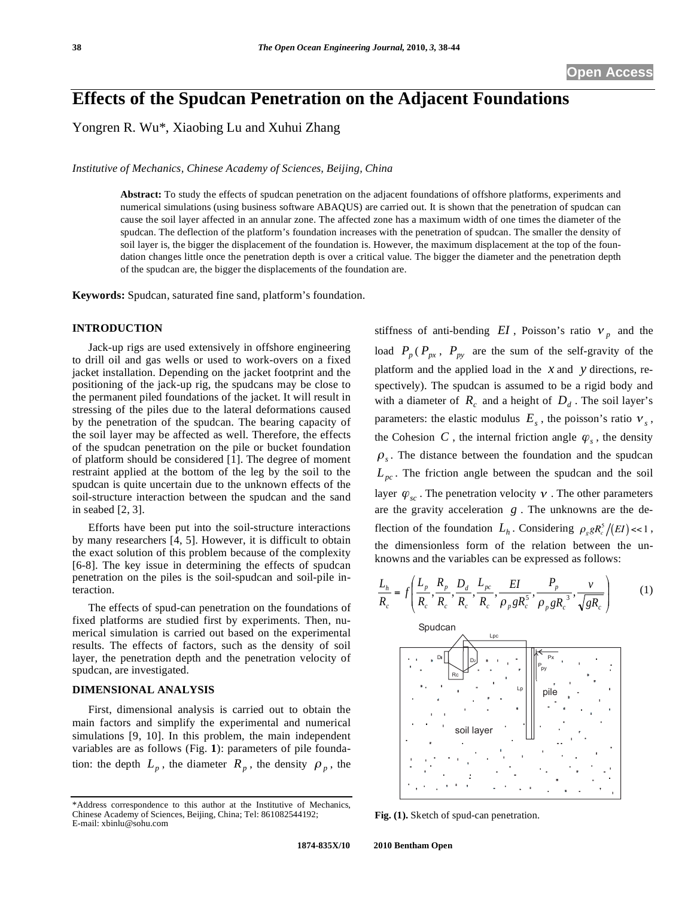# **Effects of the Spudcan Penetration on the Adjacent Foundations**

Yongren R. Wu\*, Xiaobing Lu and Xuhui Zhang

*Institutive of Mechanics, Chinese Academy of Sciences, Beijing, China* 

**Abstract:** To study the effects of spudcan penetration on the adjacent foundations of offshore platforms, experiments and numerical simulations (using business software ABAQUS) are carried out. It is shown that the penetration of spudcan can cause the soil layer affected in an annular zone. The affected zone has a maximum width of one times the diameter of the spudcan. The deflection of the platform's foundation increases with the penetration of spudcan. The smaller the density of soil layer is, the bigger the displacement of the foundation is. However, the maximum displacement at the top of the foundation changes little once the penetration depth is over a critical value. The bigger the diameter and the penetration depth of the spudcan are, the bigger the displacements of the foundation are.

**Keywords:** Spudcan, saturated fine sand, platform's foundation.

# **INTRODUCTION**

Jack-up rigs are used extensively in offshore engineering to drill oil and gas wells or used to work-overs on a fixed jacket installation. Depending on the jacket footprint and the positioning of the jack-up rig, the spudcans may be close to the permanent piled foundations of the jacket. It will result in stressing of the piles due to the lateral deformations caused by the penetration of the spudcan. The bearing capacity of the soil layer may be affected as well. Therefore, the effects of the spudcan penetration on the pile or bucket foundation of platform should be considered [1]. The degree of moment restraint applied at the bottom of the leg by the soil to the spudcan is quite uncertain due to the unknown effects of the soil-structure interaction between the spudcan and the sand in seabed [2, 3].

Efforts have been put into the soil-structure interactions by many researchers [4, 5]. However, it is difficult to obtain the exact solution of this problem because of the complexity [6-8]. The key issue in determining the effects of spudcan penetration on the piles is the soil-spudcan and soil-pile interaction.

The effects of spud-can penetration on the foundations of fixed platforms are studied first by experiments. Then, numerical simulation is carried out based on the experimental results. The effects of factors, such as the density of soil layer, the penetration depth and the penetration velocity of spudcan, are investigated.

## **DIMENSIONAL ANALYSIS**

First, dimensional analysis is carried out to obtain the main factors and simplify the experimental and numerical simulations [9, 10]. In this problem, the main independent variables are as follows (Fig. **1**): parameters of pile foundation: the depth  $L_p$ , the diameter  $R_p$ , the density  $\rho_p$ , the stiffness of anti-bending  $EI$ , Poisson's ratio  $v_p$  and the load  $P_p(P_{px}, P_{py}$  are the sum of the self-gravity of the platform and the applied load in the *x* and *y* directions, respectively). The spudcan is assumed to be a rigid body and with a diameter of  $R_c$  and a height of  $D_d$ . The soil layer's parameters: the elastic modulus  $E_s$ , the poisson's ratio  $v_s$ , the Cohesion *C*, the internal friction angle  $\varphi_s$ , the density  $\rho$ <sub>s</sub>. The distance between the foundation and the spudcan  $L_{pc}$ . The friction angle between the spudcan and the soil layer  $\varphi_{sc}$ . The penetration velocity  $\upsilon$ . The other parameters are the gravity acceleration *g* . The unknowns are the deflection of the foundation  $L_h$ . Considering  $\rho_g g R_c^5 / (EI) \ll 1$ , the dimensionless form of the relation between the unknowns and the variables can be expressed as follows:

$$
\frac{L_h}{R_c} = f\left(\frac{L_p}{R_c}, \frac{R_p}{R_c}, \frac{D_d}{R_c}, \frac{L_{pc}}{R_c}, \frac{EI}{\rho_p g R_c^5}, \frac{P_p}{\rho_p g R_c^3}, \frac{v}{\sqrt{g R_c}}\right)
$$
(1)  
\nSputcan  
\n
$$
\sum_{P \subseteq R_c} \frac{1}{\rho_p g R_c^5}
$$
\n
$$
\sum_{P \subseteq R_c} \frac{1}{\rho_p g R_c^5}
$$

**Fig. (1).** Sketch of spud-can penetration.

<sup>\*</sup>Address correspondence to this author at the Institutive of Mechanics, Chinese Academy of Sciences, Beijing, China; Tel: 861082544192; E-mail: xbinlu@sohu.com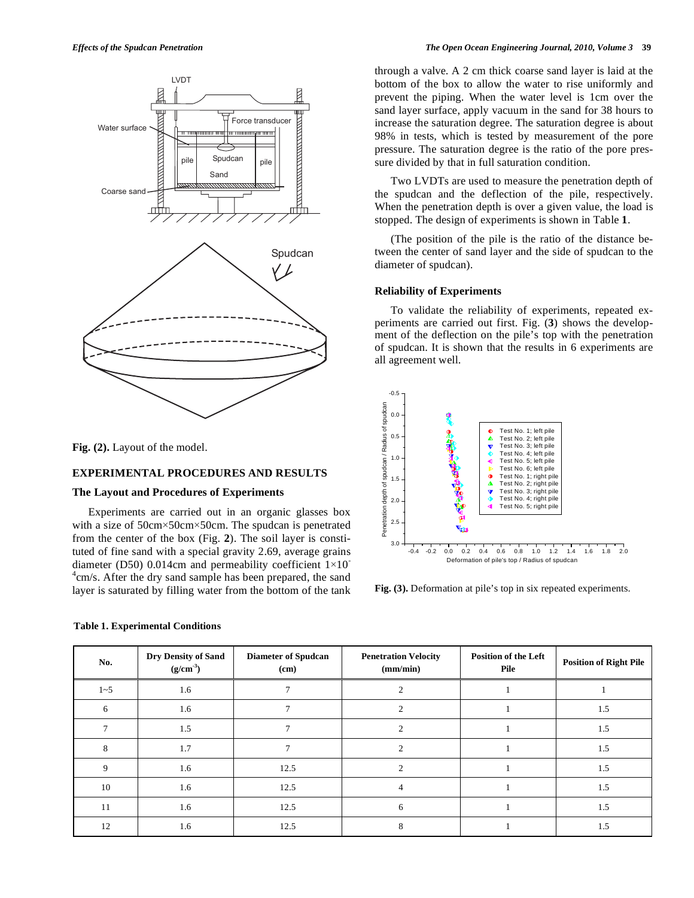

**Fig. (2).** Layout of the model.

## **EXPERIMENTAL PROCEDURES AND RESULTS**

## **The Layout and Procedures of Experiments**

Experiments are carried out in an organic glasses box with a size of  $50 \text{cm} \times 50 \text{cm} \times 50 \text{cm}$ . The spudcan is penetrated from the center of the box (Fig. **2**). The soil layer is constituted of fine sand with a special gravity 2.69, average grains diameter (D50) 0.014cm and permeability coefficient  $1\times10^{-1}$ <sup>4</sup>cm/s. After the dry sand sample has been prepared, the sand layer is saturated by filling water from the bottom of the tank

through a valve. A 2 cm thick coarse sand layer is laid at the bottom of the box to allow the water to rise uniformly and prevent the piping. When the water level is 1cm over the sand layer surface, apply vacuum in the sand for 38 hours to increase the saturation degree. The saturation degree is about 98% in tests, which is tested by measurement of the pore pressure. The saturation degree is the ratio of the pore pressure divided by that in full saturation condition.

Two LVDTs are used to measure the penetration depth of the spudcan and the deflection of the pile, respectively. When the penetration depth is over a given value, the load is stopped. The design of experiments is shown in Table **1**.

(The position of the pile is the ratio of the distance between the center of sand layer and the side of spudcan to the diameter of spudcan).

## **Reliability of Experiments**

To validate the reliability of experiments, repeated experiments are carried out first. Fig. (**3**) shows the development of the deflection on the pile's top with the penetration of spudcan. It is shown that the results in 6 experiments are all agreement well.



**Fig. (3).** Deformation at pile's top in six repeated experiments.

| No.     | Dry Density of Sand<br>$(g/cm^{-3})$ | <b>Diameter of Spudcan</b><br>(cm) | <b>Penetration Velocity</b><br>(mm/min) | <b>Position of the Left</b><br>Pile | <b>Position of Right Pile</b> |
|---------|--------------------------------------|------------------------------------|-----------------------------------------|-------------------------------------|-------------------------------|
| $1 - 5$ | 1.6                                  |                                    |                                         |                                     |                               |
| 6       | 1.6                                  |                                    |                                         |                                     | 1.5                           |
|         | 1.5                                  |                                    |                                         |                                     | 1.5                           |
| 8       | 1.7                                  | $\tau$                             | $\mathcal{D}$                           |                                     | 1.5                           |
| 9       | 1.6                                  | 12.5                               |                                         |                                     | 1.5                           |
| 10      | 1.6                                  | 12.5                               |                                         |                                     | 1.5                           |
| 11      | 1.6                                  | 12.5                               | 6                                       |                                     | 1.5                           |
| 12      | 1.6                                  | 12.5                               |                                         |                                     | 1.5                           |

#### **Table 1. Experimental Conditions**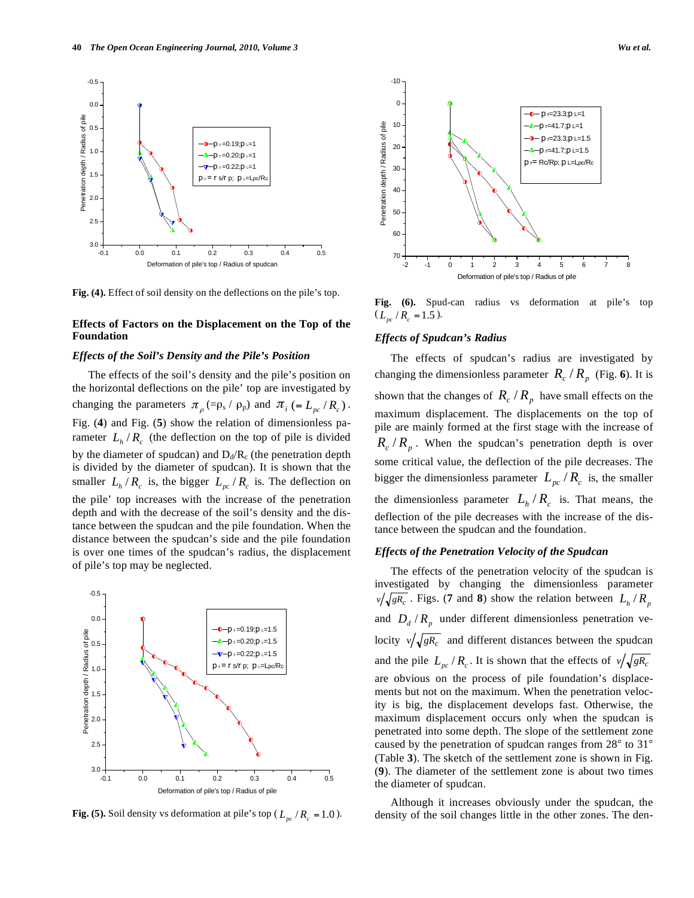

**Fig. (4).** Effect of soil density on the deflections on the pile's top.

# **Effects of Factors on the Displacement on the Top of the Foundation**

## *Effects of the Soil's Density and the Pile's Position*

The effects of the soil's density and the pile's position on the horizontal deflections on the pile' top are investigated by changing the parameters  $\pi_{\rho}$  (= $\rho_s$  /  $\rho_p$ ) and  $\pi_i$  (=  $L_{pc}$  /  $R_c$ ). Fig. (**4**) and Fig. (**5**) show the relation of dimensionless parameter  $L_h/R_c$  (the deflection on the top of pile is divided by the diameter of spudcan) and  $D_d/R_c$  (the penetration depth is divided by the diameter of spudcan). It is shown that the smaller  $L_h / R_c$  is, the bigger  $L_{pc} / R_c$  is. The deflection on the pile' top increases with the increase of the penetration depth and with the decrease of the soil's density and the distance between the spudcan and the pile foundation. When the distance between the spudcan's side and the pile foundation is over one times of the spudcan's radius, the displacement of pile's top may be neglected.



**Fig. (5).** Soil density vs deformation at pile's top ( $L_{nc}/R_c = 1.0$ ).



**Fig. (6).** Spud-can radius vs deformation at pile's top  $(L_{pc}/R_{c} = 1.5).$ 

## *Effects of Spudcan's Radius*

The effects of spudcan's radius are investigated by changing the dimensionless parameter  $R_c / R_p$  (Fig. 6). It is shown that the changes of  $R_c / R_p$  have small effects on the maximum displacement. The displacements on the top of pile are mainly formed at the first stage with the increase of  $R_c / R_p$ . When the spudcan's penetration depth is over some critical value, the deflection of the pile decreases. The bigger the dimensionless parameter  $L_{nc}$  /  $R_c$  is, the smaller the dimensionless parameter  $L_h/R_c$  is. That means, the deflection of the pile decreases with the increase of the distance between the spudcan and the foundation.

## *Effects of the Penetration Velocity of the Spudcan*

The effects of the penetration velocity of the spudcan is investigated by changing the dimensionless parameter  $\nu/\sqrt{gR_c}$ . Figs. (**7** and **8**) show the relation between  $L_h/R_p$ and  $D_d/R_p$  under different dimensionless penetration velocity  $v/\sqrt{gR_c}$  and different distances between the spudcan and the pile  $L_{nc}/R_c$ . It is shown that the effects of  $v/\sqrt{gR_c}$ are obvious on the process of pile foundation's displacements but not on the maximum. When the penetration velocity is big, the displacement develops fast. Otherwise, the maximum displacement occurs only when the spudcan is penetrated into some depth. The slope of the settlement zone caused by the penetration of spudcan ranges from 28° to 31° (Table **3**). The sketch of the settlement zone is shown in Fig. (**9**). The diameter of the settlement zone is about two times the diameter of spudcan.

Although it increases obviously under the spudcan, the density of the soil changes little in the other zones. The den-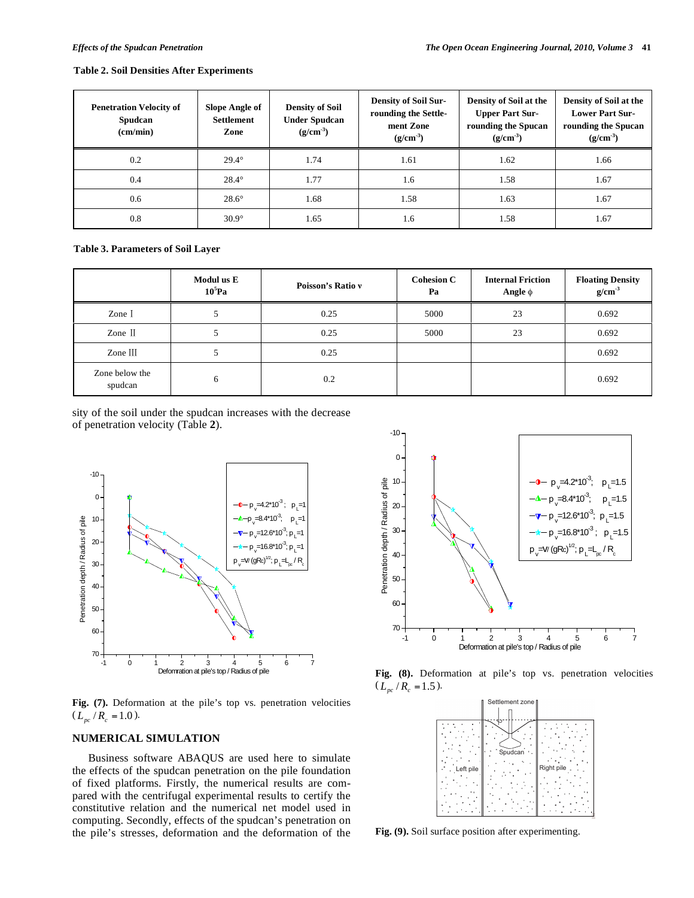#### **Table 2. Soil Densities After Experiments**

| <b>Penetration Velocity of</b><br>Spudcan<br>(cm/min) | Slope Angle of<br><b>Settlement</b><br>Zone | <b>Density of Soil</b><br><b>Under Spudcan</b><br>$(g/cm^{-3})$ | <b>Density of Soil Sur-</b><br>rounding the Settle-<br>ment Zone<br>$(g/cm^{-3})$ | Density of Soil at the<br><b>Upper Part Sur-</b><br>rounding the Spucan<br>$(g/cm^{-3})$ | Density of Soil at the<br><b>Lower Part Sur-</b><br>rounding the Spucan<br>$(g/cm^{-3})$ |
|-------------------------------------------------------|---------------------------------------------|-----------------------------------------------------------------|-----------------------------------------------------------------------------------|------------------------------------------------------------------------------------------|------------------------------------------------------------------------------------------|
| 0.2                                                   | $29.4^\circ$                                | 1.74                                                            | 1.61                                                                              | 1.62                                                                                     | 1.66                                                                                     |
| 0.4                                                   | $28.4^\circ$                                | 1.77                                                            | 1.6                                                                               | 1.58                                                                                     | 1.67                                                                                     |
| 0.6                                                   | $28.6^\circ$                                | 1.68                                                            | 1.58                                                                              | 1.63                                                                                     | 1.67                                                                                     |
| 0.8                                                   | $30.9^\circ$                                | 1.65                                                            | 1.6                                                                               | 1.58                                                                                     | 1.67                                                                                     |

**Table 3. Parameters of Soil Layer** 

|                           | Modul us E<br>$10^5$ Pa | Poisson's Ratio v | <b>Cohesion C</b><br>Pa | <b>Internal Friction</b><br>Angle $\phi$ | Floating Density<br>$g/cm^{-3}$ |
|---------------------------|-------------------------|-------------------|-------------------------|------------------------------------------|---------------------------------|
| Zone I                    | ر                       | 0.25              | 5000                    | 23                                       | 0.692                           |
| Zone II                   | J                       | 0.25              | 5000                    | 23                                       | 0.692                           |
| Zone $III$                | ر                       | 0.25              |                         |                                          | 0.692                           |
| Zone below the<br>spudcan | 6                       | 0.2               |                         |                                          | 0.692                           |

sity of the soil under the spudcan increases with the decrease of penetration velocity (Table **2**).



**Fig. (7).** Deformation at the pile's top vs. penetration velocities  $(L_{pc}/R_c = 1.0).$ 

# **NUMERICAL SIMULATION**

Business software ABAQUS are used here to simulate the effects of the spudcan penetration on the pile foundation of fixed platforms. Firstly, the numerical results are compared with the centrifugal experimental results to certify the constitutive relation and the numerical net model used in computing. Secondly, effects of the spudcan's penetration on the pile's stresses, deformation and the deformation of the



**Fig. (8).** Deformation at pile's top vs. penetration velocities  $(L_{nc}/R_{c} = 1.5).$ 



**Fig. (9).** Soil surface position after experimenting.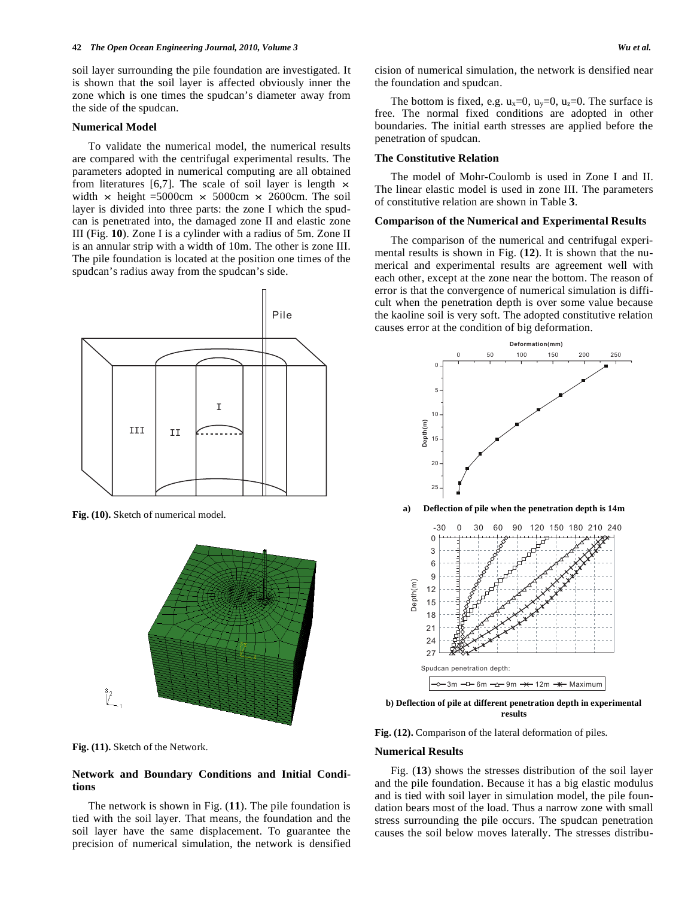soil layer surrounding the pile foundation are investigated. It is shown that the soil layer is affected obviously inner the zone which is one times the spudcan's diameter away from the side of the spudcan.

#### **Numerical Model**

To validate the numerical model, the numerical results are compared with the centrifugal experimental results. The parameters adopted in numerical computing are all obtained from literatures [6,7]. The scale of soil layer is length  $\times$ width  $\times$  height =5000cm  $\times$  5000cm  $\times$  2600cm. The soil layer is divided into three parts: the zone I which the spudcan is penetrated into, the damaged zone II and elastic zone III (Fig. **10**). Zone I is a cylinder with a radius of 5m. Zone II is an annular strip with a width of 10m. The other is zone III. The pile foundation is located at the position one times of the spudcan's radius away from the spudcan's side.



**Fig. (10).** Sketch of numerical model.



**Fig. (11).** Sketch of the Network.

## **Network and Boundary Conditions and Initial Conditions**

The network is shown in Fig. (**11**). The pile foundation is tied with the soil layer. That means, the foundation and the soil layer have the same displacement. To guarantee the precision of numerical simulation, the network is densified cision of numerical simulation, the network is densified near the foundation and spudcan.

The bottom is fixed, e.g.  $u_x=0$ ,  $u_y=0$ ,  $u_z=0$ . The surface is free. The normal fixed conditions are adopted in other boundaries. The initial earth stresses are applied before the penetration of spudcan.

## **The Constitutive Relation**

The model of Mohr-Coulomb is used in Zone I and II. The linear elastic model is used in zone III. The parameters of constitutive relation are shown in Table **3**.

#### **Comparison of the Numerical and Experimental Results**

The comparison of the numerical and centrifugal experimental results is shown in Fig. (**12**). It is shown that the numerical and experimental results are agreement well with each other, except at the zone near the bottom. The reason of error is that the convergence of numerical simulation is difficult when the penetration depth is over some value because the kaoline soil is very soft. The adopted constitutive relation causes error at the condition of big deformation.



**b) Deflection of pile at different penetration depth in experimental results** 

Fig. (12). Comparison of the lateral deformation of piles.

#### **Numerical Results**

Fig. (**13**) shows the stresses distribution of the soil layer and the pile foundation. Because it has a big elastic modulus and is tied with soil layer in simulation model, the pile foundation bears most of the load. Thus a narrow zone with small stress surrounding the pile occurs. The spudcan penetration causes the soil below moves laterally. The stresses distribu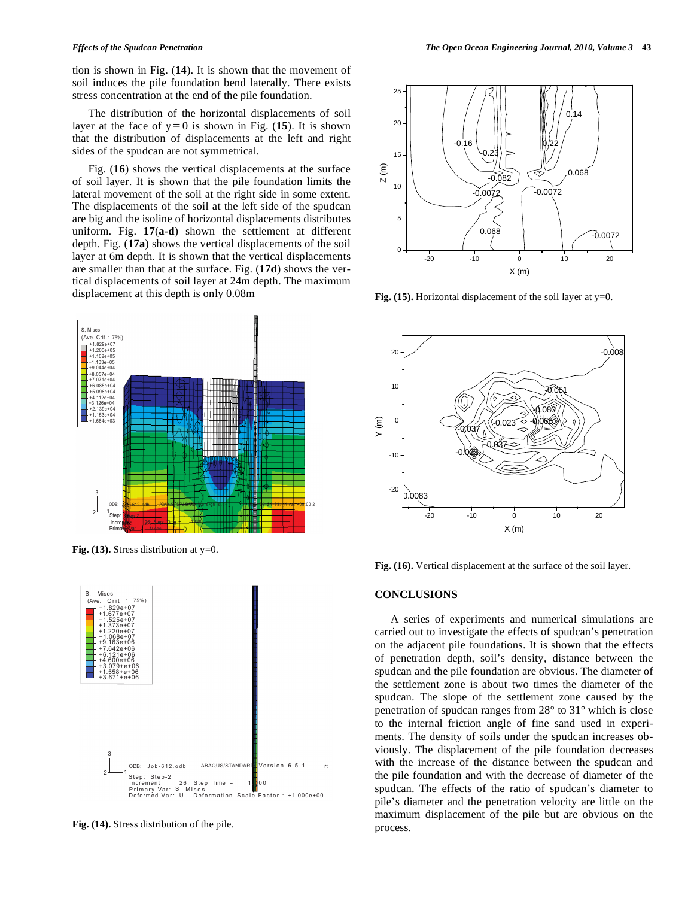tion is shown in Fig. (**14**). It is shown that the movement of soil induces the pile foundation bend laterally. There exists stress concentration at the end of the pile foundation.

The distribution of the horizontal displacements of soil layer at the face of  $y=0$  is shown in Fig. (15). It is shown that the distribution of displacements at the left and right sides of the spudcan are not symmetrical.

Fig. (**16**) shows the vertical displacements at the surface of soil layer. It is shown that the pile foundation limits the lateral movement of the soil at the right side in some extent. The displacements of the soil at the left side of the spudcan are big and the isoline of horizontal displacements distributes uniform. Fig. **17**(**a-d**) shown the settlement at different depth. Fig. (**17a**) shows the vertical displacements of the soil layer at 6m depth. It is shown that the vertical displacements are smaller than that at the surface. Fig. (**17d**) shows the vertical displacements of soil layer at 24m depth. The maximum displacement at this depth is only 0.08m



**Fig. (13).** Stress distribution at y=0.



**Fig. (14).** Stress distribution of the pile.



**Fig. (15).** Horizontal displacement of the soil layer at  $y=0$ .



**Fig. (16).** Vertical displacement at the surface of the soil layer.

## **CONCLUSIONS**

A series of experiments and numerical simulations are carried out to investigate the effects of spudcan's penetration on the adjacent pile foundations. It is shown that the effects of penetration depth, soil's density, distance between the spudcan and the pile foundation are obvious. The diameter of the settlement zone is about two times the diameter of the spudcan. The slope of the settlement zone caused by the penetration of spudcan ranges from 28° to 31° which is close to the internal friction angle of fine sand used in experiments. The density of soils under the spudcan increases obviously. The displacement of the pile foundation decreases with the increase of the distance between the spudcan and the pile foundation and with the decrease of diameter of the spudcan. The effects of the ratio of spudcan's diameter to pile's diameter and the penetration velocity are little on the maximum displacement of the pile but are obvious on the process.